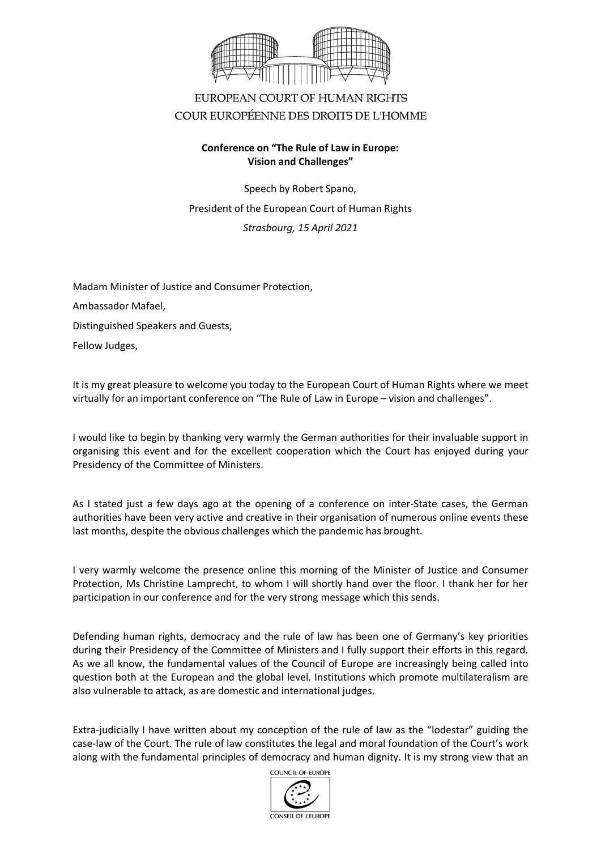

## EUROPEAN COURT OF HUMAN RIGHTS COUR EUROPÉENNE DES DROITS DE L'HOMME

## **Conference on "The Rule of Law in Europe: Vision and Challenges"**

Speech by Robert Spano, President of the European Court of Human Rights *Strasbourg, 15 April 2021*

Madam Minister of Justice and Consumer Protection, Ambassador Mafael, Distinguished Speakers and Guests, Fellow Judges,

It is my great pleasure to welcome you today to the European Court of Human Rights where we meet virtually for an important conference on "The Rule of Law in Europe – vision and challenges".

I would like to begin by thanking very warmly the German authorities for their invaluable support in organising this event and for the excellent cooperation which the Court has enjoyed during your Presidency of the Committee of Ministers.

As I stated just a few days ago at the opening of a conference on inter-State cases, the German authorities have been very active and creative in their organisation of numerous online events these last months, despite the obvious challenges which the pandemic has brought.

I very warmly welcome the presence online this morning of the Minister of Justice and Consumer Protection, Ms Christine Lamprecht, to whom I will shortly hand over the floor. I thank her for her participation in our conference and for the very strong message which this sends.

Defending human rights, democracy and the rule of law has been one of Germany's key priorities during their Presidency of the Committee of Ministers and I fully support their efforts in this regard. As we all know, the fundamental values of the Council of Europe are increasingly being called into question both at the European and the global level. Institutions which promote multilateralism are also vulnerable to attack, as are domestic and international judges.

Extra-judicially I have written about my conception of the rule of law as the "lodestar" guiding the case-law of the Court. The rule of law constitutes the legal and moral foundation of the Court's work along with the fundamental principles of democracy and human dignity. It is my strong view that an